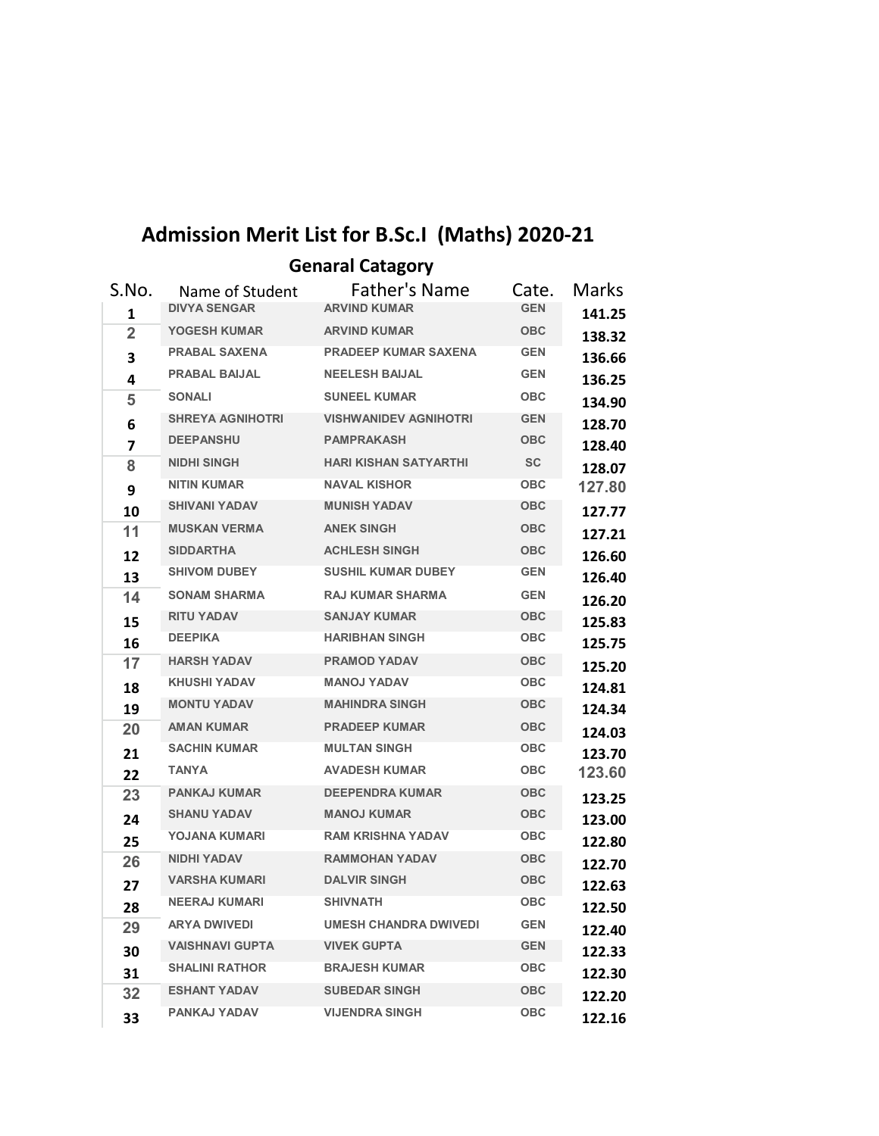## **Admission Merit List for B.Sc.I (Maths) 2020-21**

**Genaral Catagory**

| S.No. | Name of Student         | <b>Father's Name</b>         | Cate.      | <b>Marks</b> |
|-------|-------------------------|------------------------------|------------|--------------|
| 1     | <b>DIVYA SENGAR</b>     | <b>ARVIND KUMAR</b>          | <b>GEN</b> | 141.25       |
| 2     | <b>YOGESH KUMAR</b>     | <b>ARVIND KUMAR</b>          | <b>OBC</b> | 138.32       |
| 3     | <b>PRABAL SAXENA</b>    | <b>PRADEEP KUMAR SAXENA</b>  | <b>GEN</b> | 136.66       |
| 4     | <b>PRABAL BAIJAL</b>    | <b>NEELESH BAIJAL</b>        | <b>GEN</b> | 136.25       |
| 5     | <b>SONALI</b>           | <b>SUNEEL KUMAR</b>          | <b>OBC</b> | 134.90       |
| 6     | <b>SHREYA AGNIHOTRI</b> | <b>VISHWANIDEV AGNIHOTRI</b> | <b>GEN</b> | 128.70       |
| 7     | <b>DEEPANSHU</b>        | <b>PAMPRAKASH</b>            | <b>OBC</b> | 128.40       |
| 8     | <b>NIDHI SINGH</b>      | <b>HARI KISHAN SATYARTHI</b> | <b>SC</b>  | 128.07       |
| 9     | <b>NITIN KUMAR</b>      | <b>NAVAL KISHOR</b>          | <b>OBC</b> | 127.80       |
| 10    | <b>SHIVANI YADAV</b>    | <b>MUNISH YADAV</b>          | OBC        | 127.77       |
| 11    | <b>MUSKAN VERMA</b>     | <b>ANEK SINGH</b>            | <b>OBC</b> | 127.21       |
| 12    | <b>SIDDARTHA</b>        | <b>ACHLESH SINGH</b>         | <b>OBC</b> | 126.60       |
| 13    | <b>SHIVOM DUBEY</b>     | <b>SUSHIL KUMAR DUBEY</b>    | <b>GEN</b> | 126.40       |
| 14    | <b>SONAM SHARMA</b>     | <b>RAJ KUMAR SHARMA</b>      | <b>GEN</b> | 126.20       |
| 15    | <b>RITU YADAV</b>       | <b>SANJAY KUMAR</b>          | <b>OBC</b> | 125.83       |
| 16    | <b>DEEPIKA</b>          | <b>HARIBHAN SINGH</b>        | <b>OBC</b> | 125.75       |
| 17    | <b>HARSH YADAV</b>      | <b>PRAMOD YADAV</b>          | <b>OBC</b> | 125.20       |
| 18    | <b>KHUSHI YADAV</b>     | <b>MANOJ YADAV</b>           | <b>OBC</b> | 124.81       |
| 19    | <b>MONTU YADAV</b>      | <b>MAHINDRA SINGH</b>        | <b>OBC</b> | 124.34       |
| 20    | <b>AMAN KUMAR</b>       | <b>PRADEEP KUMAR</b>         | <b>OBC</b> | 124.03       |
| 21    | <b>SACHIN KUMAR</b>     | <b>MULTAN SINGH</b>          | <b>OBC</b> | 123.70       |
| 22    | <b>TANYA</b>            | <b>AVADESH KUMAR</b>         | <b>OBC</b> | 123.60       |
| 23    | <b>PANKAJ KUMAR</b>     | <b>DEEPENDRA KUMAR</b>       | OBC        | 123.25       |
| 24    | <b>SHANU YADAV</b>      | <b>MANOJ KUMAR</b>           | OBC        | 123.00       |
| 25    | YOJANA KUMARI           | <b>RAM KRISHNA YADAV</b>     | <b>OBC</b> | 122.80       |
| 26    | <b>NIDHI YADAV</b>      | <b>RAMMOHAN YADAV</b>        | <b>OBC</b> | 122.70       |
| 27    | <b>VARSHA KUMARI</b>    | <b>DALVIR SINGH</b>          | <b>OBC</b> | 122.63       |
| 28    | <b>NEERAJ KUMARI</b>    | <b>SHIVNATH</b>              | <b>OBC</b> | 122.50       |
| 29    | <b>ARYA DWIVEDI</b>     | <b>UMESH CHANDRA DWIVEDI</b> | <b>GEN</b> | 122.40       |
| 30    | <b>VAISHNAVI GUPTA</b>  | <b>VIVEK GUPTA</b>           | <b>GEN</b> | 122.33       |
| 31    | <b>SHALINI RATHOR</b>   | <b>BRAJESH KUMAR</b>         | ОВС        | 122.30       |
| 32    | <b>ESHANT YADAV</b>     | <b>SUBEDAR SINGH</b>         | <b>OBC</b> | 122.20       |
| 33    | <b>PANKAJ YADAV</b>     | <b>VIJENDRA SINGH</b>        | <b>OBC</b> | 122.16       |
|       |                         |                              |            |              |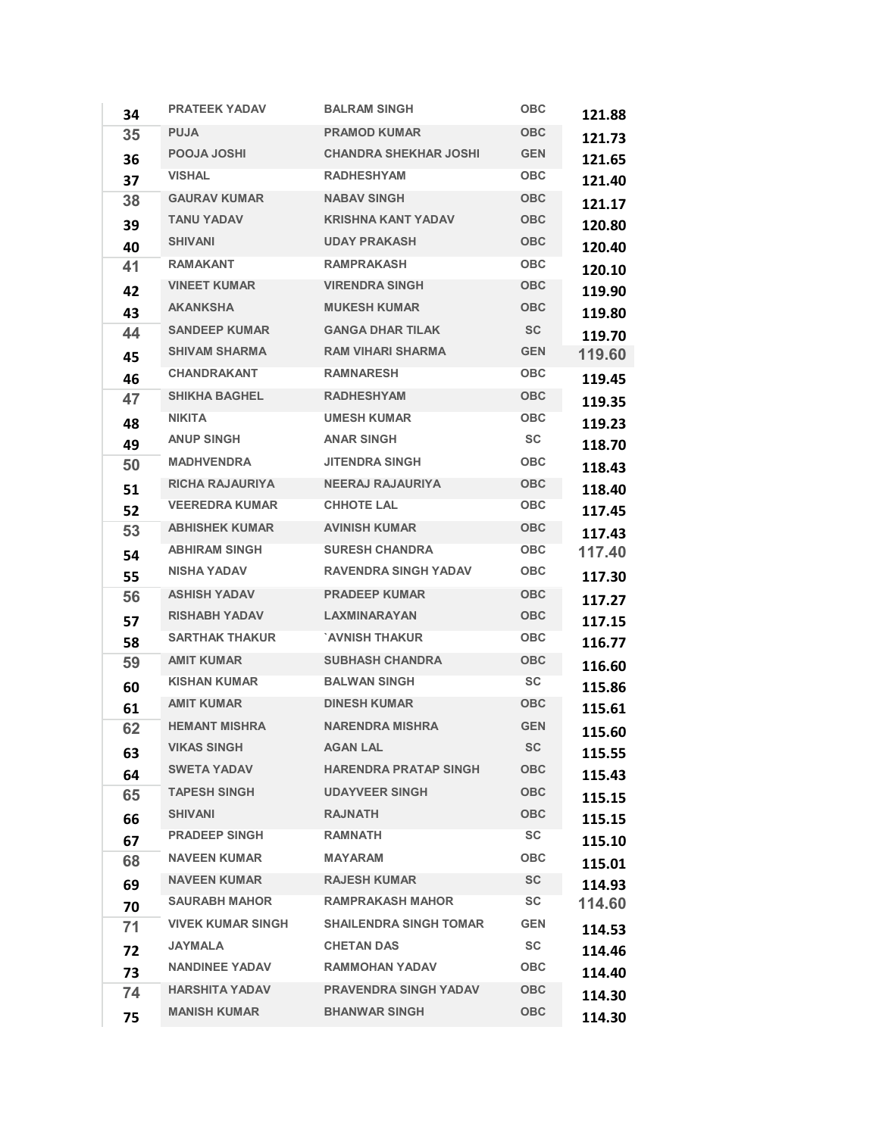| 34 | <b>PRATEEK YADAV</b>     | <b>BALRAM SINGH</b>           | <b>OBC</b> | 121.88 |
|----|--------------------------|-------------------------------|------------|--------|
| 35 | <b>PUJA</b>              | <b>PRAMOD KUMAR</b>           | <b>OBC</b> | 121.73 |
| 36 | <b>POOJA JOSHI</b>       | <b>CHANDRA SHEKHAR JOSHI</b>  | <b>GEN</b> | 121.65 |
| 37 | <b>VISHAL</b>            | <b>RADHESHYAM</b>             | <b>OBC</b> | 121.40 |
| 38 | <b>GAURAV KUMAR</b>      | <b>NABAV SINGH</b>            | <b>OBC</b> | 121.17 |
| 39 | <b>TANU YADAV</b>        | <b>KRISHNA KANT YADAV</b>     | <b>OBC</b> | 120.80 |
| 40 | <b>SHIVANI</b>           | <b>UDAY PRAKASH</b>           | <b>OBC</b> | 120.40 |
| 41 | <b>RAMAKANT</b>          | <b>RAMPRAKASH</b>             | <b>OBC</b> | 120.10 |
| 42 | <b>VINEET KUMAR</b>      | <b>VIRENDRA SINGH</b>         | <b>OBC</b> | 119.90 |
| 43 | <b>AKANKSHA</b>          | <b>MUKESH KUMAR</b>           | <b>OBC</b> | 119.80 |
| 44 | <b>SANDEEP KUMAR</b>     | <b>GANGA DHAR TILAK</b>       | <b>SC</b>  | 119.70 |
| 45 | <b>SHIVAM SHARMA</b>     | <b>RAM VIHARI SHARMA</b>      | <b>GEN</b> | 119.60 |
| 46 | <b>CHANDRAKANT</b>       | <b>RAMNARESH</b>              | <b>OBC</b> | 119.45 |
| 47 | <b>SHIKHA BAGHEL</b>     | <b>RADHESHYAM</b>             | <b>OBC</b> | 119.35 |
| 48 | <b>NIKITA</b>            | <b>UMESH KUMAR</b>            | <b>OBC</b> | 119.23 |
| 49 | <b>ANUP SINGH</b>        | <b>ANAR SINGH</b>             | <b>SC</b>  | 118.70 |
| 50 | <b>MADHVENDRA</b>        | <b>JITENDRA SINGH</b>         | <b>OBC</b> | 118.43 |
| 51 | <b>RICHA RAJAURIYA</b>   | <b>NEERAJ RAJAURIYA</b>       | <b>OBC</b> | 118.40 |
| 52 | <b>VEEREDRA KUMAR</b>    | <b>CHHOTE LAL</b>             | <b>OBC</b> | 117.45 |
| 53 | <b>ABHISHEK KUMAR</b>    | <b>AVINISH KUMAR</b>          | <b>OBC</b> | 117.43 |
| 54 | <b>ABHIRAM SINGH</b>     | <b>SURESH CHANDRA</b>         | <b>OBC</b> | 117.40 |
| 55 | <b>NISHA YADAV</b>       | <b>RAVENDRA SINGH YADAV</b>   | OBC        | 117.30 |
| 56 | <b>ASHISH YADAV</b>      | <b>PRADEEP KUMAR</b>          | <b>OBC</b> | 117.27 |
| 57 | <b>RISHABH YADAV</b>     | <b>LAXMINARAYAN</b>           | <b>OBC</b> | 117.15 |
| 58 | <b>SARTHAK THAKUR</b>    | `AVNISH THAKUR                | <b>OBC</b> | 116.77 |
| 59 | <b>AMIT KUMAR</b>        | <b>SUBHASH CHANDRA</b>        | <b>OBC</b> | 116.60 |
| 60 | <b>KISHAN KUMAR</b>      | <b>BALWAN SINGH</b>           | SC         | 115.86 |
| 61 | <b>AMIT KUMAR</b>        | <b>DINESH KUMAR</b>           | <b>OBC</b> | 115.61 |
| 62 | <b>HEMANT MISHRA</b>     | <b>NARENDRA MISHRA</b>        | <b>GEN</b> | 115.60 |
| 63 | <b>VIKAS SINGH</b>       | <b>AGAN LAL</b>               | <b>SC</b>  | 115.55 |
| 64 | <b>SWETA YADAV</b>       | <b>HARENDRA PRATAP SINGH</b>  | <b>OBC</b> | 115.43 |
| 65 | <b>TAPESH SINGH</b>      | <b>UDAYVEER SINGH</b>         | <b>OBC</b> | 115.15 |
| 66 | <b>SHIVANI</b>           | <b>RAJNATH</b>                | <b>OBC</b> | 115.15 |
| 67 | <b>PRADEEP SINGH</b>     | <b>RAMNATH</b>                | <b>SC</b>  | 115.10 |
| 68 | <b>NAVEEN KUMAR</b>      | <b>MAYARAM</b>                | <b>OBC</b> | 115.01 |
| 69 | <b>NAVEEN KUMAR</b>      | <b>RAJESH KUMAR</b>           | <b>SC</b>  | 114.93 |
| 70 | <b>SAURABH MAHOR</b>     | <b>RAMPRAKASH MAHOR</b>       | SC         | 114.60 |
| 71 | <b>VIVEK KUMAR SINGH</b> | <b>SHAILENDRA SINGH TOMAR</b> | <b>GEN</b> | 114.53 |
| 72 | <b>JAYMALA</b>           | <b>CHETAN DAS</b>             | <b>SC</b>  | 114.46 |
| 73 | <b>NANDINEE YADAV</b>    | <b>RAMMOHAN YADAV</b>         | <b>OBC</b> | 114.40 |
| 74 | <b>HARSHITA YADAV</b>    | <b>PRAVENDRA SINGH YADAV</b>  | <b>OBC</b> | 114.30 |
| 75 | <b>MANISH KUMAR</b>      | <b>BHANWAR SINGH</b>          | <b>OBC</b> | 114.30 |
|    |                          |                               |            |        |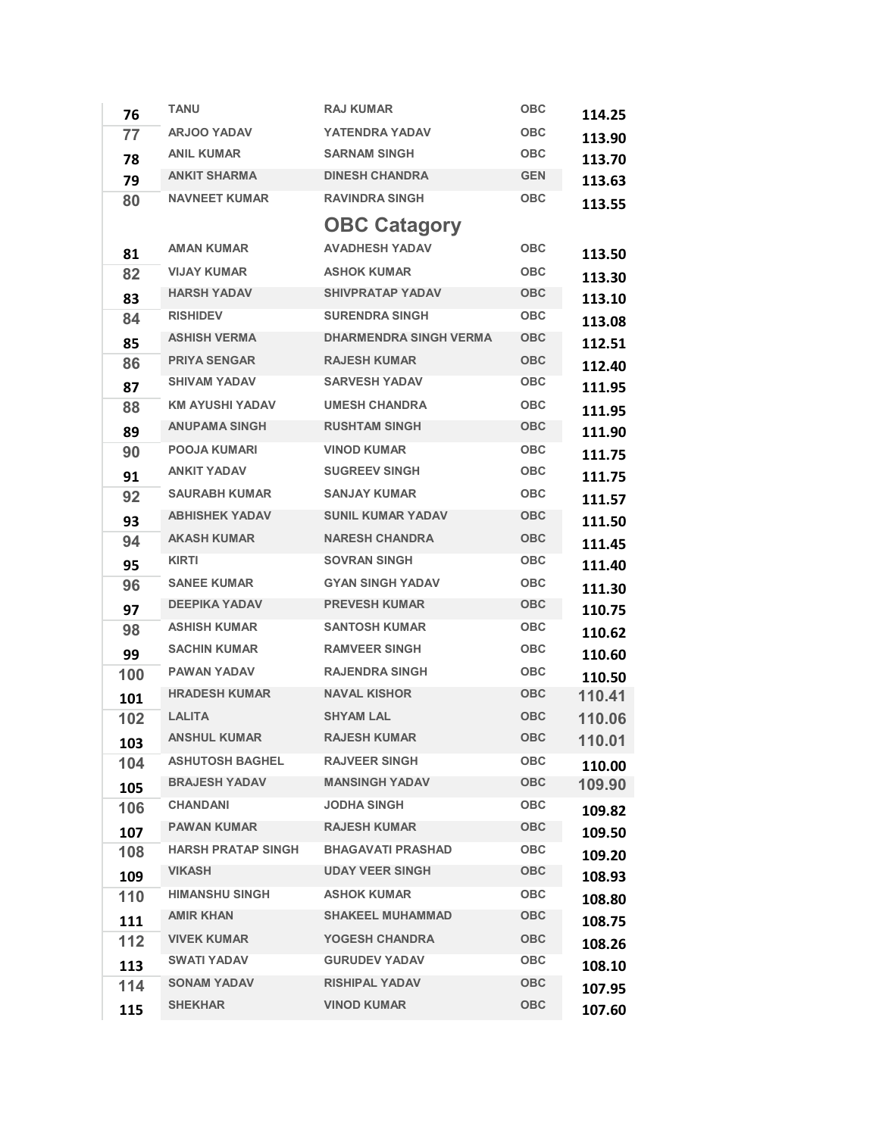| 76  | <b>TANU</b>               | <b>RAJ KUMAR</b>                            | <b>OBC</b> | 114.25 |
|-----|---------------------------|---------------------------------------------|------------|--------|
| 77  | <b>ARJOO YADAV</b>        | <b>YATENDRA YADAV</b>                       | <b>OBC</b> | 113.90 |
| 78  | <b>ANIL KUMAR</b>         | <b>SARNAM SINGH</b>                         | <b>OBC</b> | 113.70 |
| 79  | <b>ANKIT SHARMA</b>       | <b>DINESH CHANDRA</b>                       | <b>GEN</b> | 113.63 |
| 80  | <b>NAVNEET KUMAR</b>      | <b>RAVINDRA SINGH</b>                       | <b>OBC</b> | 113.55 |
|     |                           | <b>OBC Catagory</b>                         |            |        |
| 81  | <b>AMAN KUMAR</b>         | <b>AVADHESH YADAV</b>                       | <b>OBC</b> | 113.50 |
| 82  | <b>VIJAY KUMAR</b>        | <b>ASHOK KUMAR</b>                          | <b>OBC</b> | 113.30 |
| 83  | <b>HARSH YADAV</b>        | <b>SHIVPRATAP YADAV</b>                     | <b>OBC</b> | 113.10 |
| 84  | <b>RISHIDEV</b>           | <b>SURENDRA SINGH</b>                       | <b>OBC</b> | 113.08 |
| 85  | <b>ASHISH VERMA</b>       | <b>DHARMENDRA SINGH VERMA</b>               | <b>OBC</b> | 112.51 |
| 86  | <b>PRIYA SENGAR</b>       | <b>RAJESH KUMAR</b>                         | <b>OBC</b> | 112.40 |
| 87  | <b>SHIVAM YADAV</b>       | <b>SARVESH YADAV</b>                        | <b>OBC</b> | 111.95 |
| 88  | <b>KM AYUSHI YADAV</b>    | <b>UMESH CHANDRA</b>                        | <b>OBC</b> | 111.95 |
| 89  | <b>ANUPAMA SINGH</b>      | <b>RUSHTAM SINGH</b>                        | <b>OBC</b> | 111.90 |
| 90  | <b>POOJA KUMARI</b>       | <b>VINOD KUMAR</b>                          | <b>OBC</b> | 111.75 |
| 91  | <b>ANKIT YADAV</b>        | <b>SUGREEV SINGH</b>                        | <b>OBC</b> | 111.75 |
| 92  | <b>SAURABH KUMAR</b>      | <b>SANJAY KUMAR</b>                         | <b>OBC</b> | 111.57 |
| 93  | <b>ABHISHEK YADAV</b>     | <b>SUNIL KUMAR YADAV</b>                    | <b>OBC</b> | 111.50 |
| 94  | <b>AKASH KUMAR</b>        | <b>NARESH CHANDRA</b>                       | <b>OBC</b> | 111.45 |
| 95  | <b>KIRTI</b>              | <b>SOVRAN SINGH</b>                         | OBC        | 111.40 |
| 96  | <b>SANEE KUMAR</b>        | <b>GYAN SINGH YADAV</b>                     | <b>OBC</b> | 111.30 |
| 97  | <b>DEEPIKA YADAV</b>      | <b>PREVESH KUMAR</b>                        | <b>OBC</b> | 110.75 |
| 98  | <b>ASHISH KUMAR</b>       | <b>SANTOSH KUMAR</b>                        | <b>OBC</b> | 110.62 |
| 99  | <b>SACHIN KUMAR</b>       | <b>RAMVEER SINGH</b>                        | <b>OBC</b> | 110.60 |
| 100 | <b>PAWAN YADAV</b>        | <b>RAJENDRA SINGH</b>                       | <b>OBC</b> | 110.50 |
| 101 | <b>HRADESH KUMAR</b>      | <b>NAVAL KISHOR</b>                         | <b>OBC</b> | 110.41 |
| 102 | <b>LALITA</b>             | <b>SHYAM LAL</b>                            | <b>OBC</b> | 110.06 |
| 103 | <b>ANSHUL KUMAR</b>       | <b>RAJESH KUMAR</b>                         | <b>OBC</b> | 110.01 |
| 104 | <b>ASHUTOSH BAGHEL</b>    | <b>RAJVEER SINGH</b>                        | <b>OBC</b> | 110.00 |
| 105 | <b>BRAJESH YADAV</b>      | <b>MANSINGH YADAV</b>                       | <b>OBC</b> | 109.90 |
| 106 | <b>CHANDANI</b>           | <b>JODHA SINGH</b>                          | <b>OBC</b> | 109.82 |
| 107 | <b>PAWAN KUMAR</b>        | <b>RAJESH KUMAR</b>                         | OBC        | 109.50 |
| 108 | <b>HARSH PRATAP SINGH</b> | <b>BHAGAVATI PRASHAD</b>                    | <b>OBC</b> | 109.20 |
| 109 | <b>VIKASH</b>             | <b>UDAY VEER SINGH</b>                      | <b>OBC</b> | 108.93 |
| 110 | <b>HIMANSHU SINGH</b>     | <b>ASHOK KUMAR</b>                          | <b>OBC</b> | 108.80 |
| 111 | <b>AMIR KHAN</b>          | <b>SHAKEEL MUHAMMAD</b>                     | <b>OBC</b> | 108.75 |
| 112 | <b>VIVEK KUMAR</b>        | <b>YOGESH CHANDRA</b>                       | <b>OBC</b> | 108.26 |
| 113 | <b>SWATI YADAV</b>        | <b>GURUDEV YADAV</b>                        | <b>OBC</b> | 108.10 |
| 114 | <b>SONAM YADAV</b>        | <b>RISHIPAL YADAV</b><br><b>VINOD KUMAR</b> | <b>OBC</b> | 107.95 |
| 115 | <b>SHEKHAR</b>            |                                             | <b>OBC</b> | 107.60 |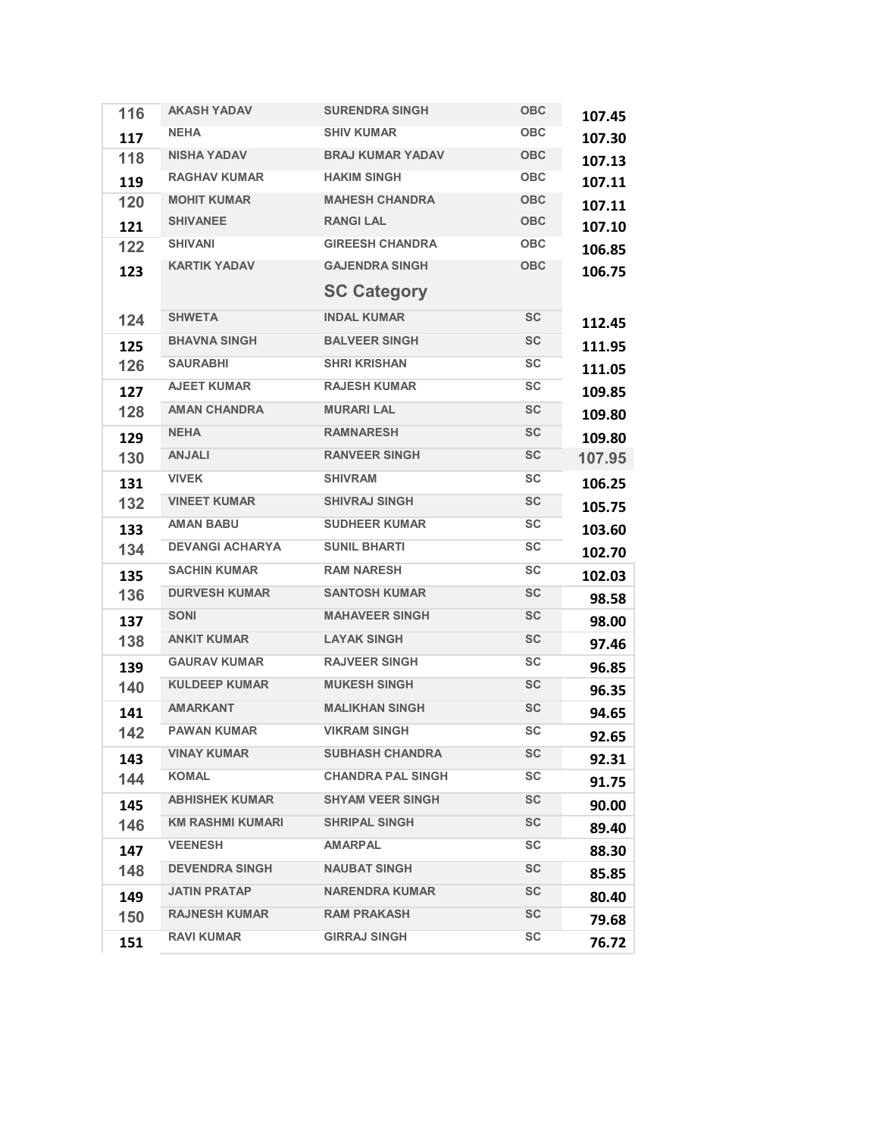|  | 116 | <b>AKASH YADAV</b>      | <b>SURENDRA SINGH</b>    | <b>OBC</b> | 107.45 |
|--|-----|-------------------------|--------------------------|------------|--------|
|  | 117 | <b>NEHA</b>             | <b>SHIV KUMAR</b>        | <b>OBC</b> | 107.30 |
|  | 118 | <b>NISHA YADAV</b>      | <b>BRAJ KUMAR YADAV</b>  | <b>OBC</b> | 107.13 |
|  | 119 | <b>RAGHAV KUMAR</b>     | <b>HAKIM SINGH</b>       | <b>OBC</b> | 107.11 |
|  | 120 | <b>MOHIT KUMAR</b>      | <b>MAHESH CHANDRA</b>    | <b>OBC</b> | 107.11 |
|  | 121 | <b>SHIVANEE</b>         | <b>RANGILAL</b>          | <b>OBC</b> | 107.10 |
|  | 122 | <b>SHIVANI</b>          | <b>GIREESH CHANDRA</b>   | <b>OBC</b> | 106.85 |
|  | 123 | <b>KARTIK YADAV</b>     | <b>GAJENDRA SINGH</b>    | <b>OBC</b> | 106.75 |
|  |     |                         | <b>SC Category</b>       |            |        |
|  | 124 | <b>SHWETA</b>           | <b>INDAL KUMAR</b>       | <b>SC</b>  | 112.45 |
|  | 125 | <b>BHAVNA SINGH</b>     | <b>BALVEER SINGH</b>     | <b>SC</b>  | 111.95 |
|  | 126 | <b>SAURABHI</b>         | <b>SHRI KRISHAN</b>      | SC         | 111.05 |
|  | 127 | <b>AJEET KUMAR</b>      | <b>RAJESH KUMAR</b>      | <b>SC</b>  | 109.85 |
|  | 128 | <b>AMAN CHANDRA</b>     | <b>MURARI LAL</b>        | <b>SC</b>  | 109.80 |
|  | 129 | <b>NEHA</b>             | <b>RAMNARESH</b>         | <b>SC</b>  | 109.80 |
|  | 130 | <b>ANJALI</b>           | <b>RANVEER SINGH</b>     | <b>SC</b>  | 107.95 |
|  | 131 | <b>VIVEK</b>            | <b>SHIVRAM</b>           | SC         | 106.25 |
|  | 132 | <b>VINEET KUMAR</b>     | <b>SHIVRAJ SINGH</b>     | <b>SC</b>  | 105.75 |
|  | 133 | <b>AMAN BABU</b>        | <b>SUDHEER KUMAR</b>     | SC         | 103.60 |
|  | 134 | <b>DEVANGI ACHARYA</b>  | <b>SUNIL BHARTI</b>      | SC         | 102.70 |
|  | 135 | <b>SACHIN KUMAR</b>     | <b>RAM NARESH</b>        | SC         | 102.03 |
|  | 136 | <b>DURVESH KUMAR</b>    | <b>SANTOSH KUMAR</b>     | <b>SC</b>  | 98.58  |
|  | 137 | <b>SONI</b>             | <b>MAHAVEER SINGH</b>    | <b>SC</b>  | 98.00  |
|  | 138 | <b>ANKIT KUMAR</b>      | <b>LAYAK SINGH</b>       | <b>SC</b>  | 97.46  |
|  | 139 | <b>GAURAV KUMAR</b>     | <b>RAJVEER SINGH</b>     | <b>SC</b>  | 96.85  |
|  | 140 | <b>KULDEEP KUMAR</b>    | <b>MUKESH SINGH</b>      | <b>SC</b>  | 96.35  |
|  | 141 | <b>AMARKANT</b>         | <b>MALIKHAN SINGH</b>    | <b>SC</b>  | 94.65  |
|  | 142 | <b>PAWAN KUMAR</b>      | <b>VIKRAM SINGH</b>      | <b>SC</b>  | 92.65  |
|  | 143 | <b>VINAY KUMAR</b>      | <b>SUBHASH CHANDRA</b>   | SC         | 92.31  |
|  | 144 | KOMAL                   | <b>CHANDRA PAL SINGH</b> | SC         | 91.75  |
|  | 145 | <b>ABHISHEK KUMAR</b>   | <b>SHYAM VEER SINGH</b>  | <b>SC</b>  | 90.00  |
|  | 146 | <b>KM RASHMI KUMARI</b> | <b>SHRIPAL SINGH</b>     | <b>SC</b>  | 89.40  |
|  | 147 | <b>VEENESH</b>          | <b>AMARPAL</b>           | SC         | 88.30  |
|  | 148 | <b>DEVENDRA SINGH</b>   | <b>NAUBAT SINGH</b>      | <b>SC</b>  | 85.85  |
|  | 149 | <b>JATIN PRATAP</b>     | <b>NARENDRA KUMAR</b>    | <b>SC</b>  | 80.40  |
|  | 150 | <b>RAJNESH KUMAR</b>    | <b>RAM PRAKASH</b>       | <b>SC</b>  | 79.68  |
|  | 151 | <b>RAVI KUMAR</b>       | <b>GIRRAJ SINGH</b>      | <b>SC</b>  | 76.72  |
|  |     |                         |                          |            |        |